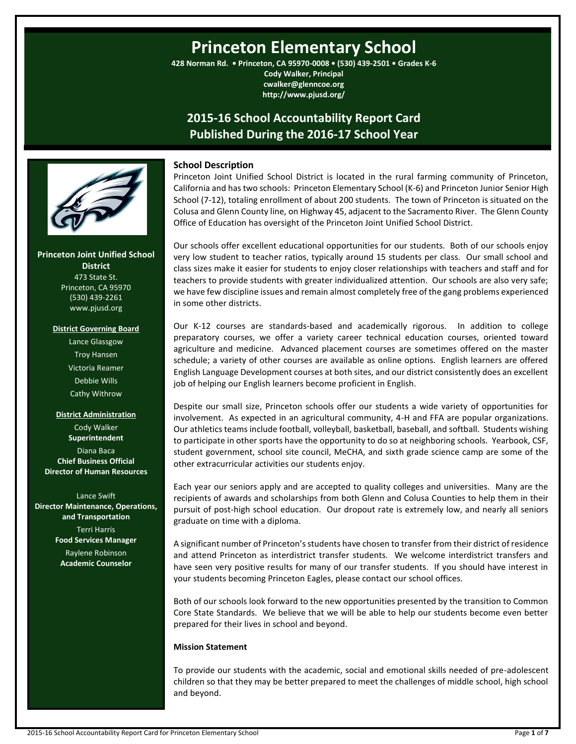# **Princeton Elementary School**

**428 Norman Rd. • Princeton, CA 95970-0008 • (530) 439-2501 • Grades K-6 Cody Walker, Principal**

> **cwalker@glenncoe.org http://www.pjusd.org/**

# **2015-16 School Accountability Report Card Published During the 2016-17 School Year**



**Princeton Joint Unified School District** 473 State St. Princeton, CA 95970 (530) 439-2261 www.pjusd.org

#### **District Governing Board**

Lance Glassgow Troy Hansen Victoria Reamer Debbie Wills Cathy Withrow

#### **District Administration**

Cody Walker **Superintendent** Diana Baca **Chief Business Official Director of Human Resources**

Lance Swift **Director Maintenance, Operations, and Transportation** Terri Harris **Food Services Manager**

> Raylene Robinson **Academic Counselor**

# **School Description**

Princeton Joint Unified School District is located in the rural farming community of Princeton, California and has two schools: Princeton Elementary School (K-6) and Princeton Junior Senior High School (7-12), totaling enrollment of about 200 students. The town of Princeton is situated on the Colusa and Glenn County line, on Highway 45, adjacent to the Sacramento River. The Glenn County Office of Education has oversight of the Princeton Joint Unified School District.

Our schools offer excellent educational opportunities for our students. Both of our schools enjoy very low student to teacher ratios, typically around 15 students per class. Our small school and class sizes make it easier for students to enjoy closer relationships with teachers and staff and for teachers to provide students with greater individualized attention. Our schools are also very safe; we have few discipline issues and remain almost completely free of the gang problems experienced in some other districts.

Our K-12 courses are standards-based and academically rigorous. In addition to college preparatory courses, we offer a variety career technical education courses, oriented toward agriculture and medicine. Advanced placement courses are sometimes offered on the master schedule; a variety of other courses are available as online options. English learners are offered English Language Development courses at both sites, and our district consistently does an excellent job of helping our English learners become proficient in English.

Despite our small size, Princeton schools offer our students a wide variety of opportunities for involvement. As expected in an agricultural community, 4-H and FFA are popular organizations. Our athletics teams include football, volleyball, basketball, baseball, and softball. Students wishing to participate in other sports have the opportunity to do so at neighboring schools. Yearbook, CSF, student government, school site council, MeCHA, and sixth grade science camp are some of the other extracurricular activities our students enjoy.

Each year our seniors apply and are accepted to quality colleges and universities. Many are the recipients of awards and scholarships from both Glenn and Colusa Counties to help them in their pursuit of post-high school education. Our dropout rate is extremely low, and nearly all seniors graduate on time with a diploma.

A significant number of Princeton's students have chosen to transfer from their district of residence and attend Princeton as interdistrict transfer students. We welcome interdistrict transfers and have seen very positive results for many of our transfer students. If you should have interest in your students becoming Princeton Eagles, please contact our school offices.

Both of our schools look forward to the new opportunities presented by the transition to Common Core State Standards. We believe that we will be able to help our students become even better prepared for their lives in school and beyond.

# **Mission Statement**

To provide our students with the academic, social and emotional skills needed of pre-adolescent children so that they may be better prepared to meet the challenges of middle school, high school and beyond.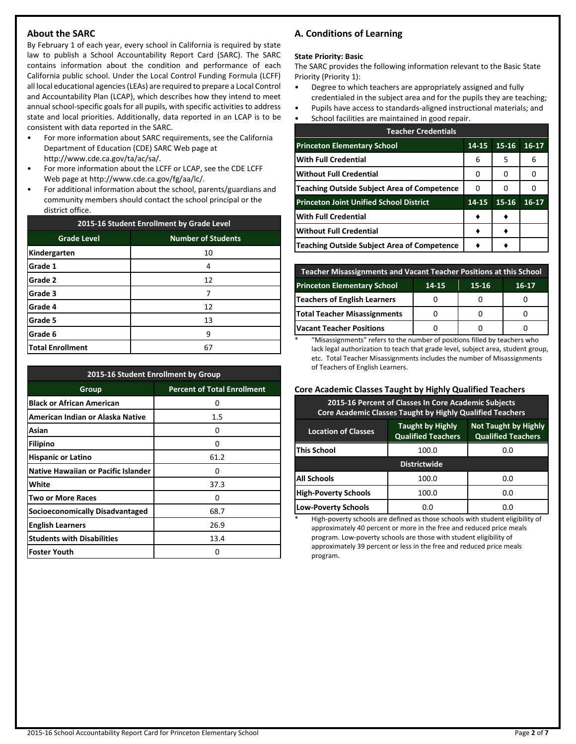# **About the SARC**

By February 1 of each year, every school in California is required by state law to publish a School Accountability Report Card (SARC). The SARC contains information about the condition and performance of each California public school. Under the Local Control Funding Formula (LCFF) all local educational agencies (LEAs) are required to prepare a Local Control and Accountability Plan (LCAP), which describes how they intend to meet annual school-specific goals for all pupils, with specific activities to address state and local priorities. Additionally, data reported in an LCAP is to be consistent with data reported in the SARC.

- For more information about SARC requirements, see the California Department of Education (CDE) SARC Web page at http://www.cde.ca.gov/ta/ac/sa/.
- For more information about the LCFF or LCAP, see the CDE LCFF Web page at http://www.cde.ca.gov/fg/aa/lc/.
- For additional information about the school, parents/guardians and community members should contact the school principal or the district office.

| 2015-16 Student Enrollment by Grade Level |                           |  |  |  |
|-------------------------------------------|---------------------------|--|--|--|
| <b>Grade Level</b>                        | <b>Number of Students</b> |  |  |  |
| Kindergarten                              | 10                        |  |  |  |
| Grade 1                                   | 4                         |  |  |  |
| Grade 2                                   | 12                        |  |  |  |
| Grade 3                                   | 7                         |  |  |  |
| Grade 4                                   | 12                        |  |  |  |
| Grade 5                                   | 13                        |  |  |  |
| Grade 6                                   | 9                         |  |  |  |
| <b>Total Enrollment</b>                   | 67                        |  |  |  |

| 2015-16 Student Enrollment by Group        |                                    |  |  |  |
|--------------------------------------------|------------------------------------|--|--|--|
| Group                                      | <b>Percent of Total Enrollment</b> |  |  |  |
| <b>Black or African American</b>           | O                                  |  |  |  |
| American Indian or Alaska Native           | 1.5                                |  |  |  |
| Asian                                      | Ω                                  |  |  |  |
| <b>Filipino</b>                            | O                                  |  |  |  |
| <b>Hispanic or Latino</b>                  | 61.2                               |  |  |  |
| <b>Native Hawaiian or Pacific Islander</b> | ŋ                                  |  |  |  |
| White                                      | 37.3                               |  |  |  |
| <b>Two or More Races</b>                   | 0                                  |  |  |  |
| Socioeconomically Disadvantaged            | 68.7                               |  |  |  |
| <b>English Learners</b>                    | 26.9                               |  |  |  |
| <b>Students with Disabilities</b>          | 13.4                               |  |  |  |
| <b>Foster Youth</b>                        | ŋ                                  |  |  |  |

# **A. Conditions of Learning**

#### **State Priority: Basic**

The SARC provides the following information relevant to the Basic State Priority (Priority 1):

- Degree to which teachers are appropriately assigned and fully credentialed in the subject area and for the pupils they are teaching;
- Pupils have access to standards-aligned instructional materials; and
- School facilities are maintained in good repair.

| <b>Teacher Credentials</b>                         |           |           |         |  |  |  |  |
|----------------------------------------------------|-----------|-----------|---------|--|--|--|--|
| <b>Princeton Elementary School</b>                 | $14 - 15$ | $15 - 16$ | $16-17$ |  |  |  |  |
| With Full Credential                               | 6         | 5         | 6       |  |  |  |  |
| Without Full Credential                            | 0         | 0         | Ω       |  |  |  |  |
| <b>Teaching Outside Subject Area of Competence</b> | 0         | 0         |         |  |  |  |  |
| <b>Princeton Joint Unified School District</b>     | 14-15     | 15-16     | $16-17$ |  |  |  |  |
| With Full Credential                               |           |           |         |  |  |  |  |
| <b>Without Full Credential</b>                     |           |           |         |  |  |  |  |
| <b>Teaching Outside Subject Area of Competence</b> |           |           |         |  |  |  |  |

| <b>Teacher Misassignments and Vacant Teacher Positions at this School</b> |  |  |  |  |  |  |  |
|---------------------------------------------------------------------------|--|--|--|--|--|--|--|
| <b>Princeton Elementary School</b><br>15-16<br>16-17<br>14-15             |  |  |  |  |  |  |  |
| Teachers of English Learners                                              |  |  |  |  |  |  |  |
| <b>Total Teacher Misassignments</b>                                       |  |  |  |  |  |  |  |
| <b>Vacant Teacher Positions</b>                                           |  |  |  |  |  |  |  |

\* "Misassignments" refers to the number of positions filled by teachers who lack legal authorization to teach that grade level, subject area, student group, etc. Total Teacher Misassignments includes the number of Misassignments of Teachers of English Learners.

#### **Core Academic Classes Taught by Highly Qualified Teachers**

| 2015-16 Percent of Classes In Core Academic Subjects<br><b>Core Academic Classes Taught by Highly Qualified Teachers</b>                       |       |     |  |  |  |  |  |
|------------------------------------------------------------------------------------------------------------------------------------------------|-------|-----|--|--|--|--|--|
| <b>Not Taught by Highly</b><br><b>Taught by Highly</b><br><b>Location of Classes</b><br><b>Qualified Teachers</b><br><b>Qualified Teachers</b> |       |     |  |  |  |  |  |
| <b>This School</b>                                                                                                                             | 100.0 | 0.O |  |  |  |  |  |
| <b>Districtwide</b>                                                                                                                            |       |     |  |  |  |  |  |
| <b>All Schools</b>                                                                                                                             | 100.0 | 0.0 |  |  |  |  |  |
| <b>High-Poverty Schools</b>                                                                                                                    | 100.0 | 0.O |  |  |  |  |  |
| <b>Low-Poverty Schools</b>                                                                                                                     | 0.0   | 0.O |  |  |  |  |  |

High-poverty schools are defined as those schools with student eligibility of approximately 40 percent or more in the free and reduced price meals program. Low-poverty schools are those with student eligibility of approximately 39 percent or less in the free and reduced price meals program.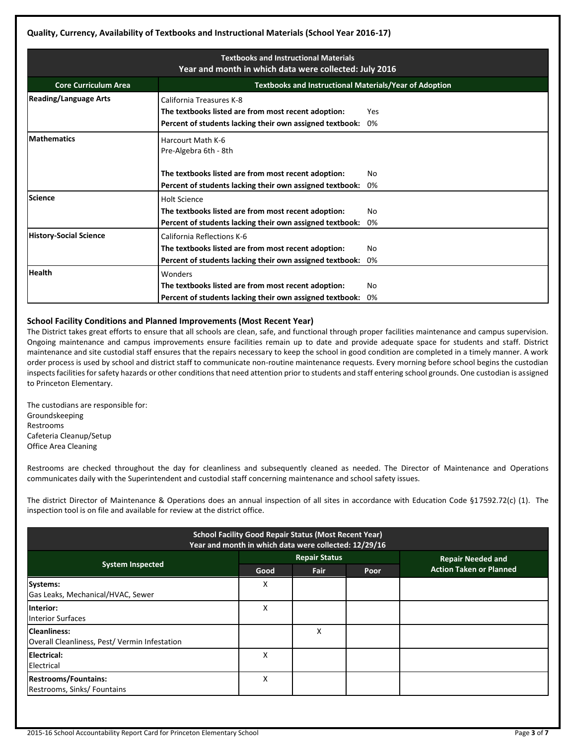| <b>Textbooks and Instructional Materials</b><br>Year and month in which data were collected: July 2016 |                                                                                                                                                          |           |  |  |  |  |  |
|--------------------------------------------------------------------------------------------------------|----------------------------------------------------------------------------------------------------------------------------------------------------------|-----------|--|--|--|--|--|
| <b>Textbooks and Instructional Materials/Year of Adoption</b><br><b>Core Curriculum Area</b>           |                                                                                                                                                          |           |  |  |  |  |  |
| <b>Reading/Language Arts</b>                                                                           | California Treasures K-8<br>The textbooks listed are from most recent adoption:<br>Yes<br>Percent of students lacking their own assigned textbook:<br>0% |           |  |  |  |  |  |
| <b>Mathematics</b>                                                                                     | Harcourt Math K-6<br>Pre-Algebra 6th - 8th                                                                                                               |           |  |  |  |  |  |
|                                                                                                        | The textbooks listed are from most recent adoption:<br>Percent of students lacking their own assigned textbook:                                          | Nο<br>0%  |  |  |  |  |  |
| Science                                                                                                | <b>Holt Science</b><br>The textbooks listed are from most recent adoption:<br>Percent of students lacking their own assigned textbook:                   | No<br>0%  |  |  |  |  |  |
| <b>History-Social Science</b>                                                                          | California Reflections K-6<br>The textbooks listed are from most recent adoption:<br>Percent of students lacking their own assigned textbook:            | No<br>0%  |  |  |  |  |  |
| <b>Health</b>                                                                                          | Wonders<br>The textbooks listed are from most recent adoption:<br>Percent of students lacking their own assigned textbook:                               | No.<br>0% |  |  |  |  |  |

# **School Facility Conditions and Planned Improvements (Most Recent Year)**

The District takes great efforts to ensure that all schools are clean, safe, and functional through proper facilities maintenance and campus supervision. Ongoing maintenance and campus improvements ensure facilities remain up to date and provide adequate space for students and staff. District maintenance and site custodial staff ensures that the repairs necessary to keep the school in good condition are completed in a timely manner. A work order process is used by school and district staff to communicate non-routine maintenance requests. Every morning before school begins the custodian inspects facilities for safety hazards or other conditions that need attention prior to students and staff entering school grounds. One custodian is assigned to Princeton Elementary.

The custodians are responsible for: Groundskeeping Restrooms Cafeteria Cleanup/Setup Office Area Cleaning

Restrooms are checked throughout the day for cleanliness and subsequently cleaned as needed. The Director of Maintenance and Operations communicates daily with the Superintendent and custodial staff concerning maintenance and school safety issues.

The district Director of Maintenance & Operations does an annual inspection of all sites in accordance with Education Code §17592.72(c) (1). The inspection tool is on file and available for review at the district office.

| <b>School Facility Good Repair Status (Most Recent Year)</b><br>Year and month in which data were collected: 12/29/16 |      |                      |      |                                |  |  |
|-----------------------------------------------------------------------------------------------------------------------|------|----------------------|------|--------------------------------|--|--|
|                                                                                                                       |      | <b>Repair Status</b> |      | <b>Repair Needed and</b>       |  |  |
| <b>System Inspected</b>                                                                                               | Good | Fair                 | Poor | <b>Action Taken or Planned</b> |  |  |
| Systems:<br>Gas Leaks, Mechanical/HVAC, Sewer                                                                         | x    |                      |      |                                |  |  |
| linterior:<br><b>Interior Surfaces</b>                                                                                | X    |                      |      |                                |  |  |
| <b>Cleanliness:</b><br>Overall Cleanliness, Pest/Vermin Infestation                                                   |      | х                    |      |                                |  |  |
| Electrical:<br>Electrical                                                                                             | Χ    |                      |      |                                |  |  |
| <b>Restrooms/Fountains:</b><br>Restrooms, Sinks/ Fountains                                                            | x    |                      |      |                                |  |  |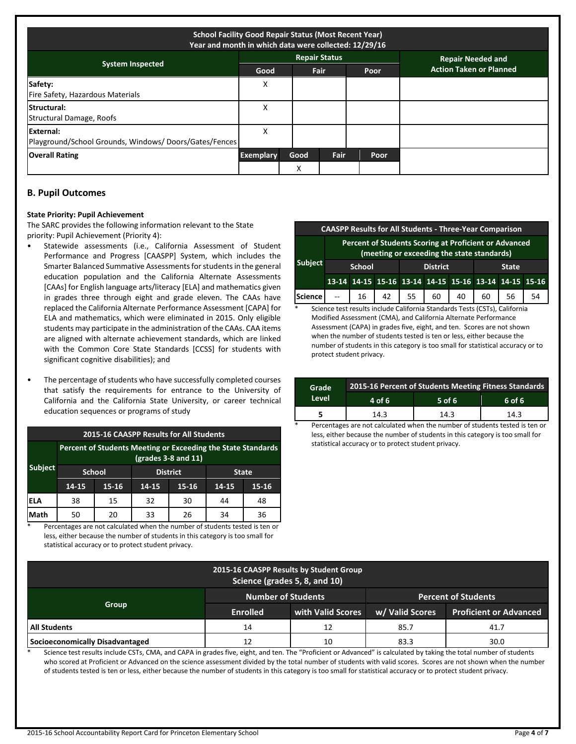| <b>School Facility Good Repair Status (Most Recent Year)</b><br>Year and month in which data were collected: 12/29/16 |                  |           |                      |      |                                |  |  |
|-----------------------------------------------------------------------------------------------------------------------|------------------|-----------|----------------------|------|--------------------------------|--|--|
|                                                                                                                       |                  |           | <b>Repair Status</b> |      | <b>Repair Needed and</b>       |  |  |
| <b>System Inspected</b>                                                                                               | Good             |           | <b>Fair</b>          | Poor | <b>Action Taken or Planned</b> |  |  |
| Safety:<br>Fire Safety, Hazardous Materials                                                                           | х                |           |                      |      |                                |  |  |
| <b>Structural:</b><br>Structural Damage, Roofs                                                                        | X                |           |                      |      |                                |  |  |
| External:<br>Playground/School Grounds, Windows/Doors/Gates/Fences                                                    | x                |           |                      |      |                                |  |  |
| <b>Overall Rating</b>                                                                                                 | <b>Exemplary</b> | Good      | Fair                 | Poor |                                |  |  |
|                                                                                                                       |                  | $\lambda$ |                      |      |                                |  |  |

# **B. Pupil Outcomes**

#### **State Priority: Pupil Achievement**

The SARC provides the following information relevant to the State priority: Pupil Achievement (Priority 4):

- Statewide assessments (i.e., California Assessment of Student Performance and Progress [CAASPP] System, which includes the Smarter Balanced Summative Assessments for students in the general education population and the California Alternate Assessments [CAAs] for English language arts/literacy [ELA] and mathematics given in grades three through eight and grade eleven. The CAAs have replaced the California Alternate Performance Assessment [CAPA] for ELA and mathematics, which were eliminated in 2015. Only eligible students may participate in the administration of the CAAs. CAA items are aligned with alternate achievement standards, which are linked with the Common Core State Standards [CCSS] for students with significant cognitive disabilities); and
- The percentage of students who have successfully completed courses that satisfy the requirements for entrance to the University of California and the California State University, or career technical education sequences or programs of study

| <b>2015-16 CAASPP Results for All Students</b>                                        |       |               |       |                 |       |       |              |  |
|---------------------------------------------------------------------------------------|-------|---------------|-------|-----------------|-------|-------|--------------|--|
| Percent of Students Meeting or Exceeding the State Standards<br>$(grades 3-8 and 11)$ |       |               |       |                 |       |       |              |  |
| <b>Subject</b>                                                                        |       | <b>School</b> |       | <b>District</b> |       |       | <b>State</b> |  |
|                                                                                       | 14-15 | 15-16         | 14-15 | 15-16           | 14-15 | 15-16 |              |  |
| ELA                                                                                   | 38    | 15            | 32    | 30              | 44    | 48    |              |  |
| Math                                                                                  | 50    | 20            | 33    | 26              | 34    | 36    |              |  |

Percentages are not calculated when the number of students tested is ten or less, either because the number of students in this category is too small for statistical accuracy or to protect student privacy.

| <b>CAASPP Results for All Students - Three-Year Comparison</b> |                                                                                                     |                                                  |  |                                                       |  |  |    |    |      |
|----------------------------------------------------------------|-----------------------------------------------------------------------------------------------------|--------------------------------------------------|--|-------------------------------------------------------|--|--|----|----|------|
|                                                                | Percent of Students Scoring at Proficient or Advanced<br>(meeting or exceeding the state standards) |                                                  |  |                                                       |  |  |    |    |      |
| <b>Subject</b>                                                 |                                                                                                     | <b>School</b><br><b>District</b><br><b>State</b> |  |                                                       |  |  |    |    |      |
|                                                                |                                                                                                     |                                                  |  | 13-14 14-15 15-16 13-14 14-15 15-16 13-14 14-15 15-16 |  |  |    |    |      |
| Science --   16   42   55   60   40                            |                                                                                                     |                                                  |  |                                                       |  |  | 60 | 56 | - 54 |

Science test results include California Standards Tests (CSTs), California Modified Assessment (CMA), and California Alternate Performance Assessment (CAPA) in grades five, eight, and ten. Scores are not shown when the number of students tested is ten or less, either because the number of students in this category is too small for statistical accuracy or to protect student privacy.

| Grade | 2015-16 Percent of Students Meeting Fitness Standards |          |        |  |  |  |  |
|-------|-------------------------------------------------------|----------|--------|--|--|--|--|
| Level | 4 of 6                                                | $5$ of 6 | 6 of 6 |  |  |  |  |
|       | 14.3                                                  | 14.3     | 14.3   |  |  |  |  |

Percentages are not calculated when the number of students tested is ten or less, either because the number of students in this category is too small for statistical accuracy or to protect student privacy.

| 2015-16 CAASPP Results by Student Group<br>Science (grades 5, 8, and 10) |                           |                   |                            |                               |  |  |  |
|--------------------------------------------------------------------------|---------------------------|-------------------|----------------------------|-------------------------------|--|--|--|
|                                                                          | <b>Number of Students</b> |                   | <b>Percent of Students</b> |                               |  |  |  |
| Group                                                                    | <b>Enrolled</b>           | with Valid Scores | w/ Valid Scores            | <b>Proficient or Advanced</b> |  |  |  |
| All Students                                                             | 14                        | 12                | 85.7                       | 41.7                          |  |  |  |
| Socioeconomically Disadvantaged                                          | 12                        | 10                | 83.3                       | 30.0                          |  |  |  |

Science test results include CSTs, CMA, and CAPA in grades five, eight, and ten. The "Proficient or Advanced" is calculated by taking the total number of students who scored at Proficient or Advanced on the science assessment divided by the total number of students with valid scores. Scores are not shown when the number of students tested is ten or less, either because the number of students in this category is too small for statistical accuracy or to protect student privacy.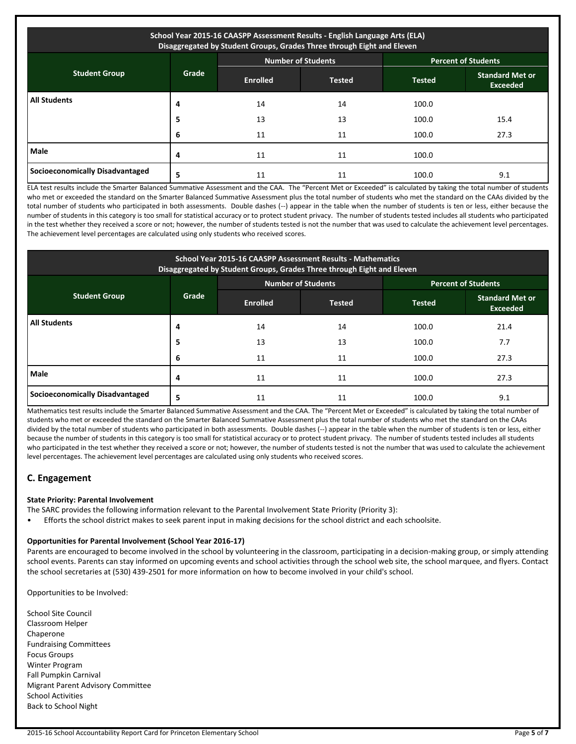| School Year 2015-16 CAASPP Assessment Results - English Language Arts (ELA)<br>Disaggregated by Student Groups, Grades Three through Eight and Eleven |                                                         |                 |        |               |                                           |  |  |  |
|-------------------------------------------------------------------------------------------------------------------------------------------------------|---------------------------------------------------------|-----------------|--------|---------------|-------------------------------------------|--|--|--|
|                                                                                                                                                       | <b>Number of Students</b><br><b>Percent of Students</b> |                 |        |               |                                           |  |  |  |
| <b>Student Group</b>                                                                                                                                  | Grade                                                   | <b>Enrolled</b> | Tested | <b>Tested</b> | <b>Standard Met or</b><br><b>Exceeded</b> |  |  |  |
| <b>All Students</b>                                                                                                                                   | 4                                                       | 14              | 14     | 100.0         |                                           |  |  |  |
|                                                                                                                                                       | 5                                                       | 13              | 13     | 100.0         | 15.4                                      |  |  |  |
|                                                                                                                                                       | ь                                                       | 11              | 11     | 100.0         | 27.3                                      |  |  |  |
| Male                                                                                                                                                  | 4                                                       | 11              | 11     | 100.0         |                                           |  |  |  |
| Socioeconomically Disadvantaged                                                                                                                       | 5                                                       | 11              | 11     | 100.0         | 9.1                                       |  |  |  |

ELA test results include the Smarter Balanced Summative Assessment and the CAA. The "Percent Met or Exceeded" is calculated by taking the total number of students who met or exceeded the standard on the Smarter Balanced Summative Assessment plus the total number of students who met the standard on the CAAs divided by the total number of students who participated in both assessments. Double dashes (--) appear in the table when the number of students is ten or less, either because the number of students in this category is too small for statistical accuracy or to protect student privacy. The number of students tested includes all students who participated in the test whether they received a score or not; however, the number of students tested is not the number that was used to calculate the achievement level percentages. The achievement level percentages are calculated using only students who received scores.

| School Year 2015-16 CAASPP Assessment Results - Mathematics<br>Disaggregated by Student Groups, Grades Three through Eight and Eleven |       |                 |                           |               |                                           |  |  |
|---------------------------------------------------------------------------------------------------------------------------------------|-------|-----------------|---------------------------|---------------|-------------------------------------------|--|--|
|                                                                                                                                       |       |                 | <b>Number of Students</b> |               | <b>Percent of Students</b>                |  |  |
| <b>Student Group</b>                                                                                                                  | Grade | <b>Enrolled</b> | <b>Tested</b>             | <b>Tested</b> | <b>Standard Met or</b><br><b>Exceeded</b> |  |  |
| <b>All Students</b>                                                                                                                   | 4     | 14              | 14                        | 100.0         | 21.4                                      |  |  |
|                                                                                                                                       | 5     | 13              | 13                        | 100.0         | 7.7                                       |  |  |
|                                                                                                                                       | 6     | 11              | 11                        | 100.0         | 27.3                                      |  |  |
| <b>Male</b>                                                                                                                           |       | 11              | 11                        | 100.0         | 27.3                                      |  |  |
| Socioeconomically Disadvantaged                                                                                                       | 5     | 11              | 11                        | 100.0         | 9.1                                       |  |  |

Mathematics test results include the Smarter Balanced Summative Assessment and the CAA. The "Percent Met or Exceeded" is calculated by taking the total number of students who met or exceeded the standard on the Smarter Balanced Summative Assessment plus the total number of students who met the standard on the CAAs divided by the total number of students who participated in both assessments. Double dashes (--) appear in the table when the number of students is ten or less, either because the number of students in this category is too small for statistical accuracy or to protect student privacy. The number of students tested includes all students who participated in the test whether they received a score or not; however, the number of students tested is not the number that was used to calculate the achievement level percentages. The achievement level percentages are calculated using only students who received scores.

# **C. Engagement**

# **State Priority: Parental Involvement**

The SARC provides the following information relevant to the Parental Involvement State Priority (Priority 3):

• Efforts the school district makes to seek parent input in making decisions for the school district and each schoolsite.

#### **Opportunities for Parental Involvement (School Year 2016-17)**

Parents are encouraged to become involved in the school by volunteering in the classroom, participating in a decision-making group, or simply attending school events. Parents can stay informed on upcoming events and school activities through the school web site, the school marquee, and flyers. Contact the school secretaries at (530) 439-2501 for more information on how to become involved in your child's school.

Opportunities to be Involved:

School Site Council Classroom Helper Chaperone Fundraising Committees Focus Groups Winter Program Fall Pumpkin Carnival Migrant Parent Advisory Committee School Activities Back to School Night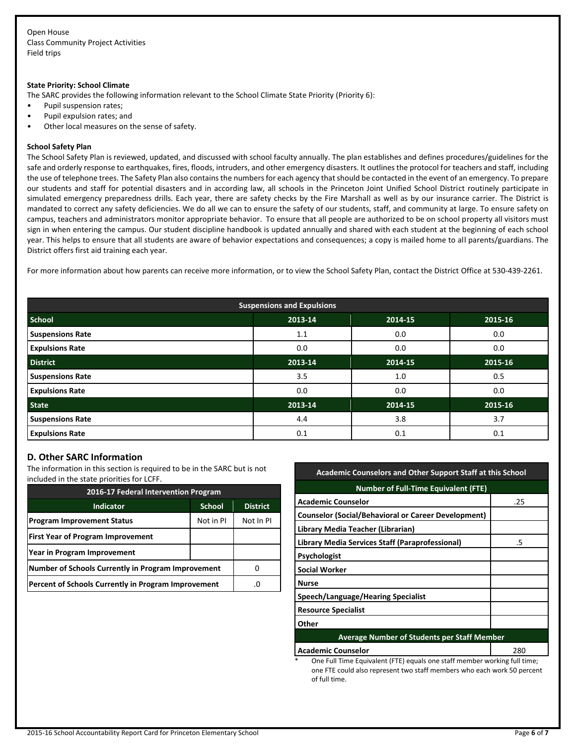Open House Class Community Project Activities Field trips

#### **State Priority: School Climate**

The SARC provides the following information relevant to the School Climate State Priority (Priority 6):

- Pupil suspension rates;
- Pupil expulsion rates; and
- Other local measures on the sense of safety.

#### **School Safety Plan**

The School Safety Plan is reviewed, updated, and discussed with school faculty annually. The plan establishes and defines procedures/guidelines for the safe and orderly response to earthquakes, fires, floods, intruders, and other emergency disasters. It outlines the protocol for teachers and staff, including the use of telephone trees. The Safety Plan also contains the numbers for each agency that should be contacted in the event of an emergency. To prepare our students and staff for potential disasters and in according law, all schools in the Princeton Joint Unified School District routinely participate in simulated emergency preparedness drills. Each year, there are safety checks by the Fire Marshall as well as by our insurance carrier. The District is mandated to correct any safety deficiencies. We do all we can to ensure the safety of our students, staff, and community at large. To ensure safety on campus, teachers and administrators monitor appropriate behavior. To ensure that all people are authorized to be on school property all visitors must sign in when entering the campus. Our student discipline handbook is updated annually and shared with each student at the beginning of each school year. This helps to ensure that all students are aware of behavior expectations and consequences; a copy is mailed home to all parents/guardians. The District offers first aid training each year.

For more information about how parents can receive more information, or to view the School Safety Plan, contact the District Office at 530-439-2261.

| <b>Suspensions and Expulsions</b> |         |         |         |  |  |  |  |
|-----------------------------------|---------|---------|---------|--|--|--|--|
| <b>School</b>                     | 2013-14 | 2014-15 | 2015-16 |  |  |  |  |
| <b>Suspensions Rate</b>           | 1.1     | 0.0     | 0.0     |  |  |  |  |
| <b>Expulsions Rate</b>            | 0.0     | 0.0     | 0.0     |  |  |  |  |
| <b>District</b>                   | 2013-14 | 2014-15 | 2015-16 |  |  |  |  |
| <b>Suspensions Rate</b>           | 3.5     | 1.0     | 0.5     |  |  |  |  |
| <b>Expulsions Rate</b>            | 0.0     | 0.0     | 0.0     |  |  |  |  |
| <b>State</b>                      | 2013-14 | 2014-15 | 2015-16 |  |  |  |  |
| <b>Suspensions Rate</b>           | 4.4     | 3.8     | 3.7     |  |  |  |  |
| <b>Expulsions Rate</b>            | 0.1     | 0.1     | 0.1     |  |  |  |  |

## **D. Other SARC Information**

The information in this section is required to be in the SARC but is not included in the state priorities for LCFF.

| 2016-17 Federal Intervention Program                |                 |           |  |  |
|-----------------------------------------------------|-----------------|-----------|--|--|
| <b>Indicator</b>                                    | <b>District</b> |           |  |  |
| <b>Program Improvement Status</b>                   | Not in PI       | Not In PI |  |  |
| <b>First Year of Program Improvement</b>            |                 |           |  |  |
| Year in Program Improvement                         |                 |           |  |  |
| Number of Schools Currently in Program Improvement  |                 |           |  |  |
| Percent of Schools Currently in Program Improvement |                 |           |  |  |

| <b>Academic Counselors and Other Support Staff at this School</b>              |     |  |  |  |  |
|--------------------------------------------------------------------------------|-----|--|--|--|--|
| <b>Number of Full-Time Equivalent (FTE)</b>                                    |     |  |  |  |  |
| <b>Academic Counselor</b>                                                      | .25 |  |  |  |  |
| <b>Counselor (Social/Behavioral or Career Development)</b>                     |     |  |  |  |  |
| Library Media Teacher (Librarian)                                              |     |  |  |  |  |
| Library Media Services Staff (Paraprofessional)<br>.5                          |     |  |  |  |  |
| Psychologist                                                                   |     |  |  |  |  |
| <b>Social Worker</b>                                                           |     |  |  |  |  |
| <b>Nurse</b>                                                                   |     |  |  |  |  |
| Speech/Language/Hearing Specialist                                             |     |  |  |  |  |
| <b>Resource Specialist</b>                                                     |     |  |  |  |  |
| Other                                                                          |     |  |  |  |  |
| <b>Average Number of Students per Staff Member</b>                             |     |  |  |  |  |
| <b>Academic Counselor</b><br>280                                               |     |  |  |  |  |
| *<br>One Full Time Equivalent (FTE) equals one staff member working full time: |     |  |  |  |  |

\* One Full Time Equivalent (FTE) equals one staff member working full time; one FTE could also represent two staff members who each work 50 percent of full time.